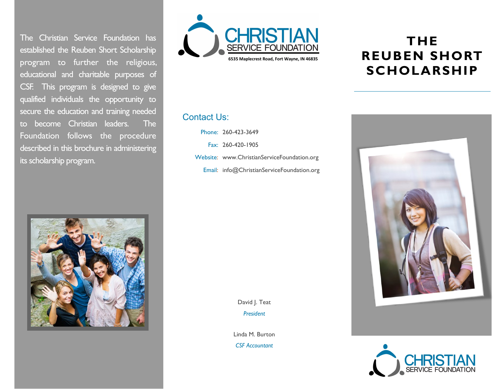The Christian Service Foundation has established the Reuben Short Scholarship program to further the religious, educational and charitable purposes of CSF. This program is designed to give qualified individuals the opportunity to secure the education and training needed to become Christian leaders. The Foundation follows the procedure described in this brochure in administering its scholarship program.





# **THE REUBEN SHORT SCHOLARSHIP**

#### Contact Us:

Phone: 260-423-3649

Fax: 260-420-1905

Website: www.ChristianServiceFoundation.org

Email: info@ChristianServiceFoundation.org

David J. Teat *President*

Linda M. Burton

*CSF Accountant*